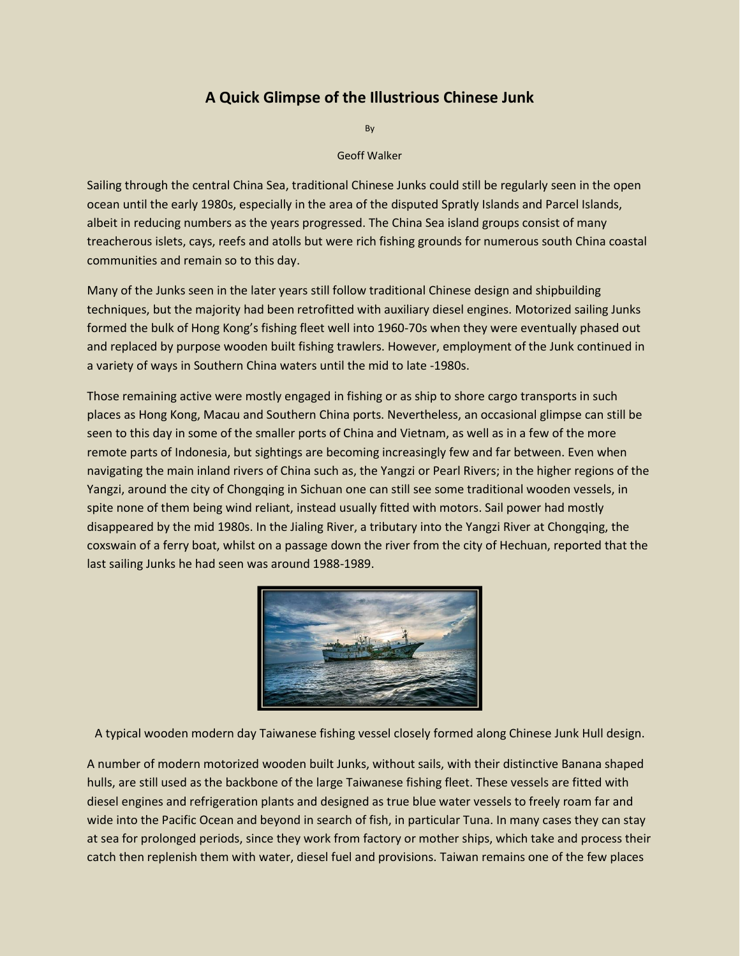## **A Quick Glimpse of the Illustrious Chinese Junk**

By

Geoff Walker

Sailing through the central China Sea, traditional Chinese Junks could still be regularly seen in the open ocean until the early 1980s, especially in the area of the disputed Spratly Islands and Parcel Islands, albeit in reducing numbers as the years progressed. The China Sea island groups consist of many treacherous islets, cays, reefs and atolls but were rich fishing grounds for numerous south China coastal communities and remain so to this day.

Many of the Junks seen in the later years still follow traditional Chinese design and shipbuilding techniques, but the majority had been retrofitted with auxiliary diesel engines. Motorized sailing Junks formed the bulk of Hong Kong's fishing fleet well into 1960-70s when they were eventually phased out and replaced by purpose wooden built fishing trawlers. However, employment of the Junk continued in a variety of ways in Southern China waters until the mid to late -1980s.

Those remaining active were mostly engaged in fishing or as ship to shore cargo transports in such places as Hong Kong, Macau and Southern China ports. Nevertheless, an occasional glimpse can still be seen to this day in some of the smaller ports of China and Vietnam, as well as in a few of the more remote parts of Indonesia, but sightings are becoming increasingly few and far between. Even when navigating the main inland rivers of China such as, the Yangzi or Pearl Rivers; in the higher regions of the Yangzi, around the city of Chongqing in Sichuan one can still see some traditional wooden vessels, in spite none of them being wind reliant, instead usually fitted with motors. Sail power had mostly disappeared by the mid 1980s. In the Jialing River, a tributary into the Yangzi River at Chongqing, the coxswain of a ferry boat, whilst on a passage down the river from the city of Hechuan, reported that the last sailing Junks he had seen was around 1988-1989.



A typical wooden modern day Taiwanese fishing vessel closely formed along Chinese Junk Hull design.

A number of modern motorized wooden built Junks, without sails, with their distinctive Banana shaped hulls, are still used as the backbone of the large Taiwanese fishing fleet. These vessels are fitted with diesel engines and refrigeration plants and designed as true blue water vessels to freely roam far and wide into the Pacific Ocean and beyond in search of fish, in particular Tuna. In many cases they can stay at sea for prolonged periods, since they work from factory or mother ships, which take and process their catch then replenish them with water, diesel fuel and provisions. Taiwan remains one of the few places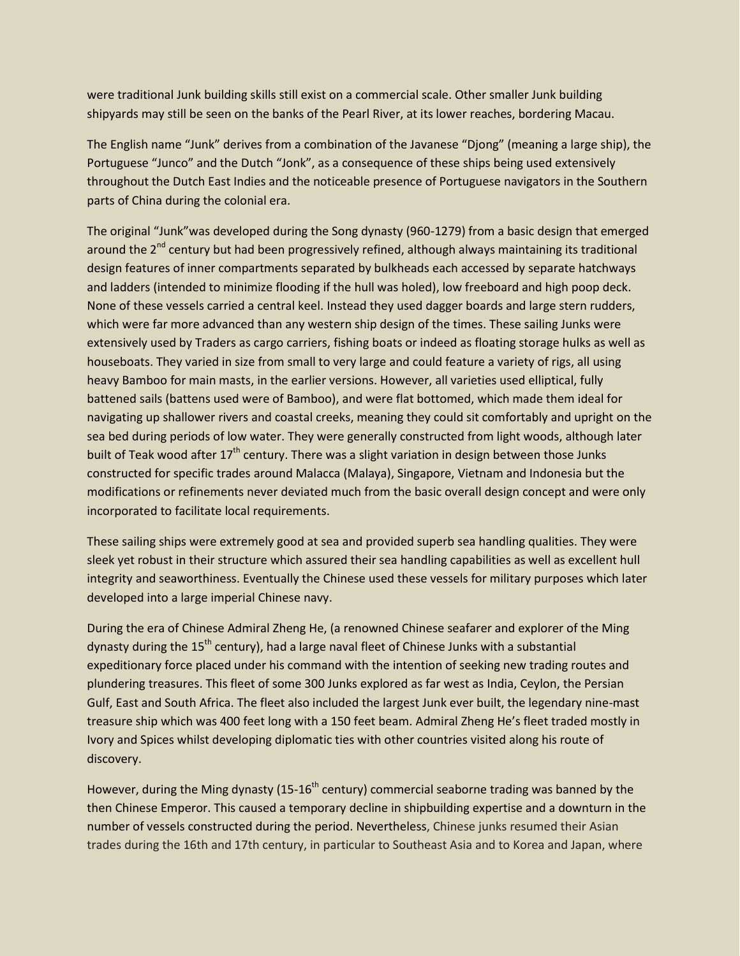were traditional Junk building skills still exist on a commercial scale. Other smaller Junk building shipyards may still be seen on the banks of the Pearl River, at its lower reaches, bordering Macau.

The English name "Junk" derives from a combination of the Javanese "Djong" (meaning a large ship), the Portuguese "Junco" and the Dutch "Jonk", as a consequence of these ships being used extensively throughout the Dutch East Indies and the noticeable presence of Portuguese navigators in the Southern parts of China during the colonial era.

The original "Junk"was developed during the Song dynasty (960-1279) from a basic design that emerged around the  $2^{nd}$  century but had been progressively refined, although always maintaining its traditional design features of inner compartments separated by bulkheads each accessed by separate hatchways and ladders (intended to minimize flooding if the hull was holed), low freeboard and high poop deck. None of these vessels carried a central keel. Instead they used dagger boards and large stern rudders, which were far more advanced than any western ship design of the times. These sailing Junks were extensively used by Traders as cargo carriers, fishing boats or indeed as floating storage hulks as well as houseboats. They varied in size from small to very large and could feature a variety of rigs, all using heavy Bamboo for main masts, in the earlier versions. However, all varieties used elliptical, fully battened sails (battens used were of Bamboo), and were flat bottomed, which made them ideal for navigating up shallower rivers and coastal creeks, meaning they could sit comfortably and upright on the sea bed during periods of low water. They were generally constructed from light woods, although later built of Teak wood after  $17<sup>th</sup>$  century. There was a slight variation in design between those Junks constructed for specific trades around Malacca (Malaya), Singapore, Vietnam and Indonesia but the modifications or refinements never deviated much from the basic overall design concept and were only incorporated to facilitate local requirements.

These sailing ships were extremely good at sea and provided superb sea handling qualities. They were sleek yet robust in their structure which assured their sea handling capabilities as well as excellent hull integrity and seaworthiness. Eventually the Chinese used these vessels for military purposes which later developed into a large imperial Chinese navy.

During the era of Chinese Admiral Zheng He, (a renowned Chinese seafarer and explorer of the Ming dynasty during the  $15<sup>th</sup>$  century), had a large naval fleet of Chinese Junks with a substantial expeditionary force placed under his command with the intention of seeking new trading routes and plundering treasures. This fleet of some 300 Junks explored as far west as India, Ceylon, the Persian Gulf, East and South Africa. The fleet also included the largest Junk ever built, the legendary nine-mast treasure ship which was 400 feet long with a 150 feet beam. Admiral Zheng He's fleet traded mostly in Ivory and Spices whilst developing diplomatic ties with other countries visited along his route of discovery.

However, during the Ming dynasty (15-16<sup>th</sup> century) commercial seaborne trading was banned by the then Chinese Emperor. This caused a temporary decline in shipbuilding expertise and a downturn in the number of vessels constructed during the period. Nevertheless, Chinese junks resumed their Asian trades during the 16th and 17th century, in particular to Southeast Asia and to Korea and Japan, where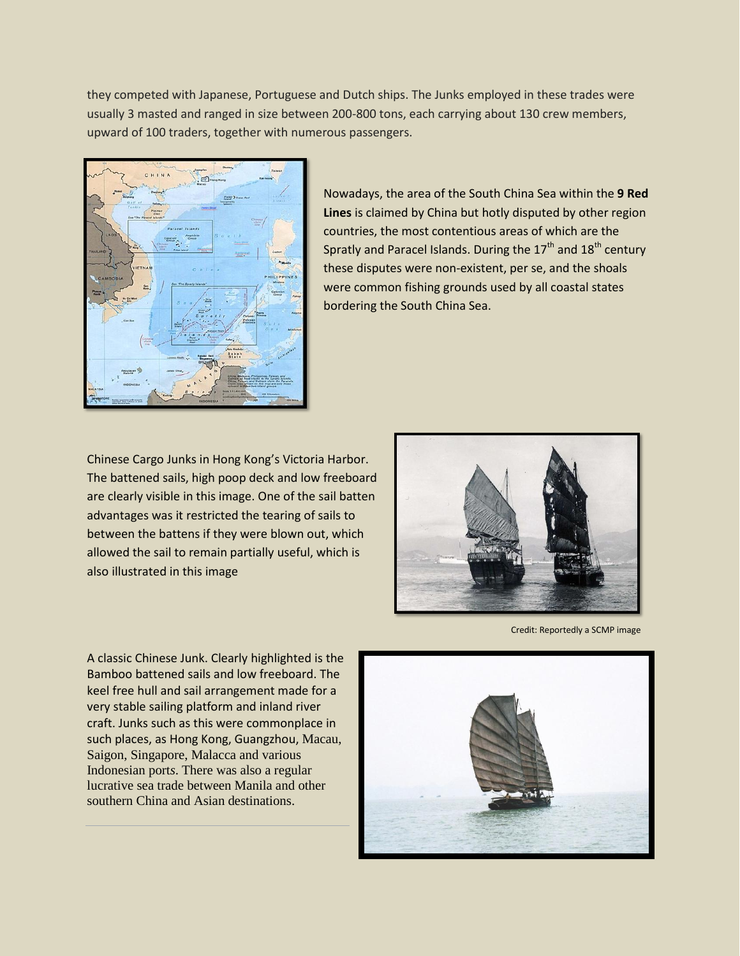they competed with Japanese, Portuguese and Dutch ships. The Junks employed in these trades were usually 3 masted and ranged in size between 200-800 tons, each carrying about 130 crew members, upward of 100 traders, together with numerous passengers.



Nowadays, the area of the South China Sea within the **9 Red Lines** is claimed by China but hotly disputed by other region countries, the most contentious areas of which are the Spratly and Paracel Islands. During the  $17<sup>th</sup>$  and  $18<sup>th</sup>$  century these disputes were non-existent, per se, and the shoals were common fishing grounds used by all coastal states bordering the South China Sea.

Chinese Cargo Junks in Hong Kong's Victoria Harbor. The battened sails, high poop deck and low freeboard are clearly visible in this image. One of the sail batten advantages was it restricted the tearing of sails to between the battens if they were blown out, which allowed the sail to remain partially useful, which is also illustrated in this image



Credit: Reportedly a SCMP image

A classic Chinese Junk. Clearly highlighted is the Bamboo battened sails and low freeboard. The keel free hull and sail arrangement made for a very stable sailing platform and inland river craft. Junks such as this were commonplace in such places, as Hong Kong, Guangzhou, Macau, Saigon, Singapore, Malacca and various Indonesian port*s*. There was also a regular lucrative sea trade between Manila and other southern China and Asian destinations.